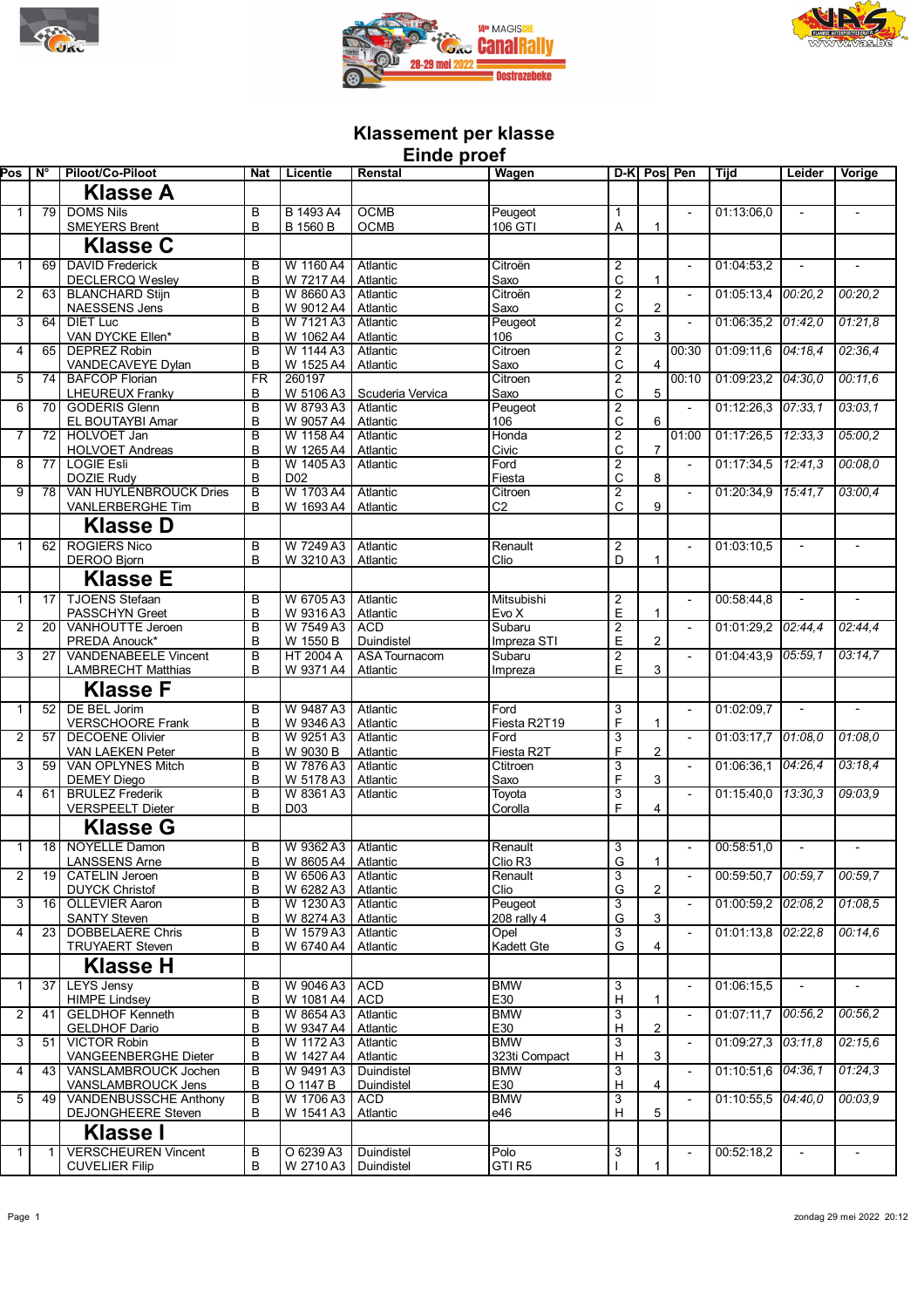





## **Klassement per klasse Einde proef**

| Pos            | N°              | Piloot/Co-Piloot                                  | <b>Nat</b>                   | Licentie                                 | =…wv p.vv<br>Renstal     | Wagen                       | $D-K$                          |                | Pos Pen                  | Tijd               | Leider         | Vorige                   |
|----------------|-----------------|---------------------------------------------------|------------------------------|------------------------------------------|--------------------------|-----------------------------|--------------------------------|----------------|--------------------------|--------------------|----------------|--------------------------|
|                |                 | <b>Klasse A</b>                                   |                              |                                          |                          |                             |                                |                |                          |                    |                |                          |
| $\mathbf{1}$   | 79 l            | <b>DOMS Nils</b>                                  | B                            | B 1493 A4                                | <b>OCMB</b>              | Peugeot                     | $\mathbf{1}$                   |                |                          | 01:13:06,0         | $\blacksquare$ |                          |
|                |                 | <b>SMEYERS Brent</b>                              | B                            | <b>B</b> 1560 B                          | <b>OCMB</b>              | 106 GTI                     | A                              | 1              |                          |                    |                |                          |
|                |                 | <b>Klasse C</b>                                   |                              |                                          |                          |                             |                                |                |                          |                    |                |                          |
| $\mathbf{1}$   | 69              | <b>DAVID Frederick</b>                            | В                            | W 1160 A4                                | Atlantic                 | Citroën                     | $\overline{\mathbf{c}}$        |                |                          | 01:04:53,2         |                |                          |
|                |                 | <b>DECLERCQ Wesley</b>                            | B                            | W 7217 A4                                | Atlantic                 | Saxo                        | C                              | 1              |                          |                    |                |                          |
| $\overline{2}$ | 63 l            | <b>BLANCHARD Stijn</b><br><b>NAESSENS Jens</b>    | $\overline{\mathsf{B}}$<br>B | W 8660 A3<br>W 9012 A4                   | Atlantic<br>Atlantic     | Citroën<br>Saxo             | $\overline{2}$<br>C            | 2              |                          | 01:05:13,4         | 00:20.2        | 00:20,2                  |
| 3              | 64              | <b>DIET Luc</b>                                   | B                            | W 7121 A3                                | Atlantic                 | Peugeot                     | $\overline{2}$                 |                | $\overline{a}$           | 01:06:35.2         | 01:42.0        | 01:21,8                  |
|                |                 | VAN DYCKE Ellen*                                  | B                            | W 1062 A4                                | Atlantic                 | 106                         | C                              | 3              |                          |                    |                |                          |
| $\overline{4}$ | 65              | <b>DEPREZ Robin</b>                               | $\overline{\mathsf{B}}$      | W 1144 A3                                | Atlantic                 | Citroen                     | $\overline{2}$                 |                | 00:30                    | 01:09:11,6         | 04:18.4        | 02:36,4                  |
| 5              | 74 I            | VANDECAVEYE Dylan<br><b>BAFCOP Florian</b>        | В<br>$\overline{\text{FR}}$  | W 1525 A4<br>260197                      | Atlantic                 | Saxo<br>Citroen             | C<br>$\overline{2}$            | $\overline{4}$ | 00:10                    | 01:09:23,2         | 04:30,0        | 00:11.6                  |
|                |                 | <b>LHEUREUX Franky</b>                            | В                            | W 5106 A3                                | Scuderia Vervica         | Saxo                        | C                              | 5              |                          |                    |                |                          |
| 6              | 70 I            | <b>GODERIS Glenn</b>                              | B                            | W 8793 A3                                | Atlantic                 | Peugeot                     | $\overline{2}$                 |                | ÷,                       | 01:12:26.3         | 07:33.1        | 03:03,1                  |
| $\overline{7}$ | 72 I            | EL BOUTAYBI Amar<br><b>HOLVOET Jan</b>            | B<br>B                       | W 9057 A4<br>W 1158 A4                   | Atlantic<br>Atlantic     | 106<br>Honda                | $\mathsf{C}$<br>$\overline{2}$ | 6              | 01:00                    | 01:17:26,5         | 12:33.3        | 05:00,2                  |
|                |                 | <b>HOLVOET Andreas</b>                            | B                            | W 1265 A4                                | Atlantic                 | Civic                       | C                              | $\overline{7}$ |                          |                    |                |                          |
| 8              | 77 <sub>l</sub> | <b>LOGIE Esli</b>                                 | B                            | W 1405 A3                                | Atlantic                 | Ford                        | $\overline{2}$                 |                | $\overline{\phantom{a}}$ | 01:17:34,5         | 12:41.3        | 00:08.0                  |
| 9              | 78              | <b>DOZIE Rudy</b><br>VAN HUYLENBROUCK Dries       | B<br>B                       | D <sub>02</sub><br>W 1703 A4             | Atlantic                 | Fiesta<br>Citroen           | C<br>$\overline{\mathbf{c}}$   | 8              |                          | 01:20:34,9         | 15:41.7        | 03:00,4                  |
|                |                 | VANLERBERGHE Tim                                  | B                            | W 1693 A4                                | Atlantic                 | C <sub>2</sub>              | C                              | 9              |                          |                    |                |                          |
|                |                 | Klasse D                                          |                              |                                          |                          |                             |                                |                |                          |                    |                |                          |
| $\mathbf{1}$   | 62              | <b>ROGIERS Nico</b>                               | B                            | W 7249 A3                                | Atlantic                 | Renault                     | $\overline{2}$                 |                |                          | 01:03:10.5         |                |                          |
|                |                 | <b>DEROO Bjorn</b>                                | B                            | W 3210 A3                                | Atlantic                 | Clio                        | D                              |                |                          |                    |                |                          |
|                |                 | <b>Klasse E</b>                                   |                              |                                          |                          |                             |                                |                |                          |                    |                |                          |
| $\mathbf{1}$   | 17 <sup>1</sup> | <b>TJOENS Stefaan</b>                             | В                            | W 6705 A3                                | Atlantic                 | Mitsubishi                  | $\overline{2}$                 |                | $\blacksquare$           | 00:58:44,8         |                |                          |
|                |                 | <b>PASSCHYN Greet</b>                             | B                            | W 9316 A3                                | Atlantic                 | Evo X                       | E                              | 1              |                          |                    |                |                          |
| $\overline{2}$ | 20              | <b>VANHOUTTE Jeroen</b><br>PREDA Anouck*          | B<br>B                       | W 7549 A3<br>W 1550 B                    | <b>ACD</b><br>Duindistel | Subaru<br>Impreza STI       | $\overline{2}$<br>E            | 2              |                          | 01:01:29,2         | 02:44,4        | 02:44,4                  |
| 3              | 27              | <b>VANDENABEELE Vincent</b>                       | B                            | HT 2004 A                                | <b>ASA Tournacom</b>     | Subaru                      | $\overline{2}$                 |                |                          | 01:04:43,9         | 05:59,1        | 03:14.7                  |
|                |                 | <b>LAMBRECHT Matthias</b>                         | B                            | W 9371 A4                                | Atlantic                 | Impreza                     | E                              | 3              |                          |                    |                |                          |
|                |                 | <b>Klasse F</b>                                   |                              |                                          |                          |                             |                                |                |                          |                    |                |                          |
| $\mathbf{1}$   | 52              | <b>DE BEL Jorim</b>                               | B                            | W 9487 A3                                | Atlantic                 | Ford                        | 3                              |                | $\blacksquare$           | 01:02:09,7         |                |                          |
|                |                 | <b>VERSCHOORE Frank</b>                           | B                            | W 9346 A3                                | Atlantic                 | Fiesta R2T19                | F                              | 1              |                          |                    |                |                          |
| $\overline{2}$ | $\overline{57}$ | <b>DECOENE Olivier</b><br>VAN LAEKEN Peter        | В<br>B                       | W 9251 A3<br>W 9030 B                    | Atlantic<br>Atlantic     | Ford<br>Fiesta R2T          | $\overline{3}$<br>F            | 2              | $\overline{\phantom{a}}$ | 01:03:17,7         | 01:08.0        | 01:08.0                  |
| 3              | 59              | VAN OPLYNES Mitch                                 | B                            | W 7876 A3                                | Atlantic                 | Ctitroen                    | 3                              |                | $\overline{\phantom{a}}$ | 01:06:36,1         | 04:26.4        | 03:18.4                  |
|                |                 | <b>DEMEY Diego</b>                                | B                            | W 5178 A3                                | Atlantic                 | Saxo                        | F                              | 3              |                          |                    |                |                          |
| 4              | 61              | <b>BRULEZ Frederik</b><br><b>VERSPEELT Dieter</b> | B<br>B                       | W 8361 A3<br>D <sub>03</sub>             | Atlantic                 | Toyota<br>Corolla           | 3<br>F                         | 4              | $\blacksquare$           | 01:15:40,0         | 13:30.3        | 09:03.9                  |
|                |                 | <b>Klasse G</b>                                   |                              |                                          |                          |                             |                                |                |                          |                    |                |                          |
| $\mathbf{1}$   |                 | 18 NOYELLE Damon                                  | B                            | W 9362 A3                                | Atlantic                 | Renault                     | 3                              |                |                          | 00:58:51,0         |                |                          |
|                |                 | <b>LANSSENS Arne</b>                              | В                            | W 8605 A4   Atlantic                     |                          | Clio R <sub>3</sub>         | G                              | 1              |                          |                    |                |                          |
| $\overline{2}$ |                 | 19   CATELIN Jeroen                               | B                            | W 6506 A3                                | Atlantic                 | Renault                     | 3                              |                |                          | 00:59:50,7         | 00:59.7        | 00:59.7                  |
| 3              | 16 <sup>1</sup> | <b>DUYCK Christof</b><br><b>OLLEVIER Aaron</b>    | B<br>В                       | W 6282 A3 Atlantic<br>W 1230 A3 Atlantic |                          | Clio<br>Peugeot             | G<br>$\overline{3}$            | 2              |                          | 01:00:59,2 02:08,2 |                | 01:08.5                  |
|                |                 | <b>SANTY Steven</b>                               | B                            | W 8274 A3                                | Atlantic                 | 208 rally $4$               | G                              | 3              |                          |                    |                |                          |
| 4              | $\overline{23}$ | <b>DOBBELAERE Chris</b>                           | B                            | W 1579 A3                                | Atlantic                 | Opel                        | $\overline{3}$                 |                |                          | 01:01:13,8 02:22,8 |                | 00:14.6                  |
|                |                 | <b>TRUYAERT Steven</b>                            | B                            | W 6740 A4                                | Atlantic                 | Kadett Gte                  | G                              | 4              |                          |                    |                |                          |
|                |                 | <b>Klasse H</b>                                   |                              |                                          |                          |                             |                                |                |                          |                    |                |                          |
| $\mathbf{1}$   | 37              | <b>LEYS Jensy</b>                                 | В                            | W 9046 A3                                | <b>ACD</b>               | <b>BMW</b>                  | 3                              |                | $\overline{\phantom{a}}$ | 01:06:15.5         | $\sim$         | $\overline{\phantom{a}}$ |
| 2              | 41 I            | <b>HIMPE Lindsey</b><br><b>GELDHOF Kenneth</b>    | B<br>B                       | W 1081 A4<br>W 8654 A3                   | <b>ACD</b><br>Atlantic   | E30<br><b>BMW</b>           | H<br>3                         | 1              | $\overline{\phantom{a}}$ | 01:07:11.7         | 00:56.2        | 00:56.2                  |
|                |                 | GELDHOF Dario                                     | B                            | W 9347 A4                                | Atlantic                 | E30                         | Н                              | $\overline{2}$ |                          |                    |                |                          |
| 3              | 51              | <b>VICTOR Robin</b>                               | B                            | W 1172 A3                                | Atlantic                 | <b>BMW</b>                  | 3                              |                | $\overline{\phantom{a}}$ | 01:09:27.3         | 03:11,8        | 02:15,6                  |
| 4              | 43 <sub>l</sub> | VANGEENBERGHE Dieter<br>VANSLAMBROUCK Jochen      | B<br>B                       | W 1427 A4<br>W 9491 A3                   | Atlantic<br>Duindistel   | 323ti Compact<br><b>BMW</b> | H<br>3                         | 3              | $\overline{\phantom{a}}$ | 01:10:51,6         | [04:36,1]      | 01:24.3                  |
|                |                 | VANSLAMBROUCK Jens                                | В                            | O 1147 B                                 | Duindistel               | E30                         | $\mathsf H$                    | $\overline{4}$ |                          |                    |                |                          |
| 5              | 49 l            | <b>VANDENBUSSCHE Anthony</b>                      | В                            | W 1706 A3                                | <b>ACD</b>               | <b>BMW</b>                  | $\overline{3}$                 |                |                          | 01:10:55,5 04:40,0 |                | 00:03.9                  |
|                |                 | <b>DEJONGHEERE Steven</b>                         | B                            | W 1541 A3                                | Atlantic                 | e46                         | $\boldsymbol{\mathsf{H}}$      | 5              |                          |                    |                |                          |
|                |                 | <b>Klasse I</b>                                   |                              |                                          |                          |                             |                                |                |                          |                    |                |                          |
| $\mathbf{1}$   | 11              | <b>VERSCHEUREN Vincent</b>                        | В                            | O 6239 A3                                | Duindistel               | Polo                        | 3                              |                | $\overline{\phantom{a}}$ | 00:52:18,2         | $\sim$         | $\overline{\phantom{a}}$ |
|                |                 | <b>CUVELIER Filip</b>                             | B                            | W 2710 A3                                | Duindistel               | GTI <sub>R5</sub>           |                                | 1              |                          |                    |                |                          |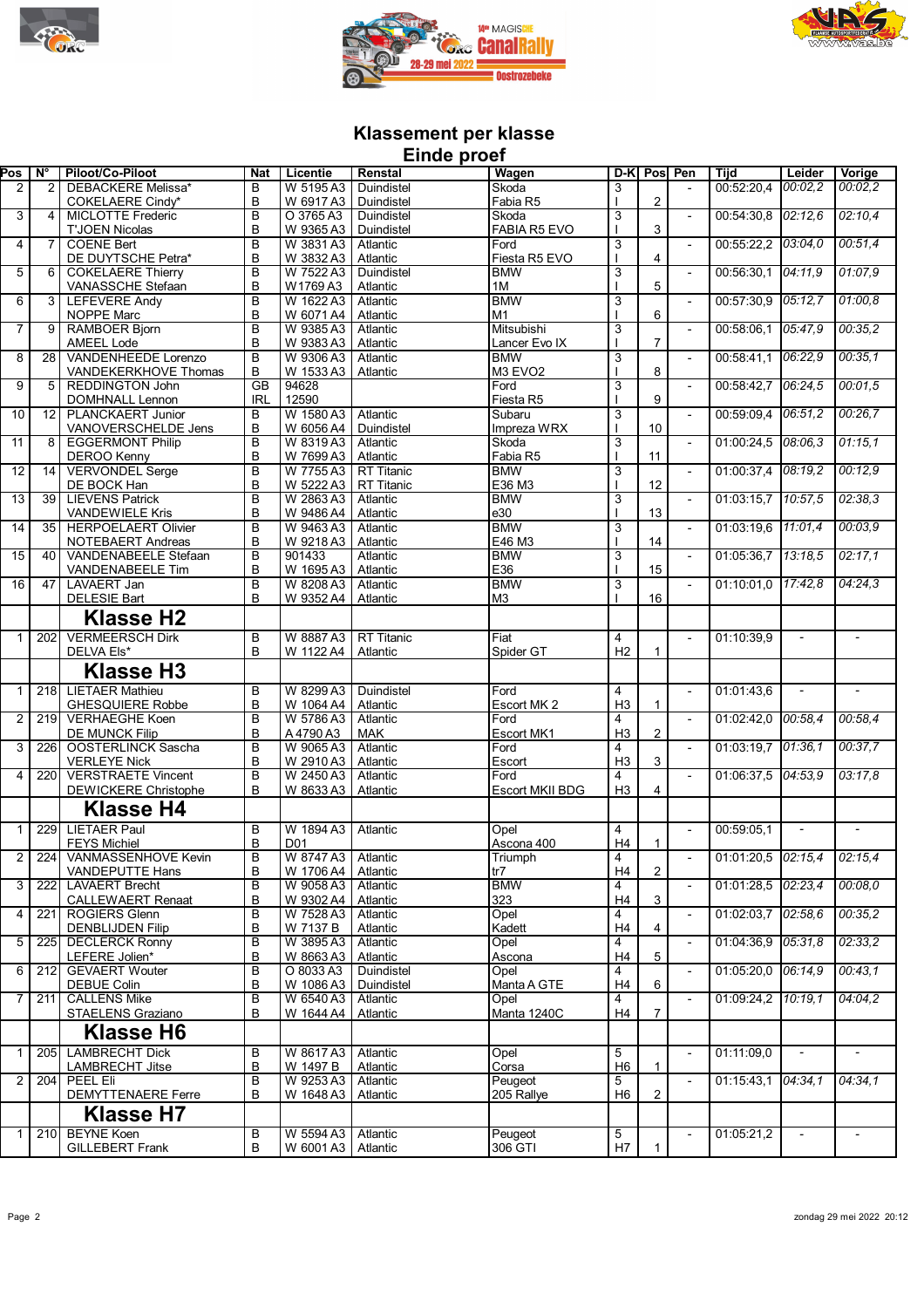





## **Klassement per klasse Einde proef**

|                 |                                 |                             |                |                      | Filiae hinei      |                        |                |                |                          |                      |         |                          |
|-----------------|---------------------------------|-----------------------------|----------------|----------------------|-------------------|------------------------|----------------|----------------|--------------------------|----------------------|---------|--------------------------|
| Pos             | $\overline{\mathsf{N}^{\circ}}$ | Piloot/Co-Piloot            | <b>Nat</b>     | Licentie             | Renstal           | <b>Wagen</b>           |                | D-K Pos Pen    |                          | <b>Tiid</b>          | Leider  | Vorige                   |
| 2               | $\overline{2}$                  | DEBACKERE Melissa*          | B              | W 5195 A3            | Duindistel        | Skoda                  | 3              |                |                          | 00:52:20,4           | 00:02.2 | 00:02.2                  |
|                 |                                 | COKELAERE Cindy*            | B              | W 6917 A3            | Duindistel        | Fabia R5               |                | 2              |                          |                      |         |                          |
|                 |                                 |                             |                |                      |                   |                        |                |                |                          |                      |         |                          |
| 3               | 4                               | <b>MICLOTTE Frederic</b>    | B              | O 3765 A3            | Duindistel        | Skoda                  | 3              |                |                          | 00:54:30,8           | 02:12.6 | 02:10,4                  |
|                 |                                 | <b>T'JOEN Nicolas</b>       | B              | W 9365 A3            | Duindistel        | <b>FABIA R5 EVO</b>    |                | 3              |                          |                      |         |                          |
| $\overline{4}$  | 7                               | <b>COENE Bert</b>           | B              | W 3831 A3            | Atlantic          | Ford                   | $\overline{3}$ |                | $\overline{\phantom{a}}$ | 00:55:22,2 03:04,0   |         | 00:51,4                  |
|                 |                                 |                             |                |                      |                   |                        |                |                |                          |                      |         |                          |
|                 |                                 | DE DUYTSCHE Petra*          | B              | W 3832 A3            | Atlantic          | Fiesta R5 EVO          |                | 4              |                          |                      |         |                          |
| 5               | 6                               | <b>COKELAERE Thierry</b>    | B              | W 7522 A3            | Duindistel        | <b>BMW</b>             | $\overline{3}$ |                | $\overline{\phantom{a}}$ | 00:56:30.1           | 04:11.9 | 01:07,9                  |
|                 |                                 | VANASSCHE Stefaan           | B              | W1769 A3             | Atlantic          | 1M                     |                | 5              |                          |                      |         |                          |
| 6               | 3                               | <b>LEFEVERE Andy</b>        | B              | W 1622 A3            | Atlantic          | <b>BMW</b>             | 3              |                | $\overline{a}$           | 00:57:30.9 05:12.7   |         | 01:00,8                  |
|                 |                                 |                             |                |                      |                   |                        |                |                |                          |                      |         |                          |
|                 |                                 | NOPPE Marc                  | B              | W 6071 A4            | Atlantic          | M1                     |                | 6              |                          |                      |         |                          |
| 7               | 9 <sup>1</sup>                  | <b>RAMBOER Bjorn</b>        | B              | W 9385 A3            | Atlantic          | Mitsubishi             | $\overline{3}$ |                | $\blacksquare$           | 00:58:06,1           | 05:47.9 | 00:35,2                  |
|                 |                                 | <b>AMEEL Lode</b>           | B              | W 9383 A3            | Atlantic          | Lancer Evo IX          |                | $\overline{7}$ |                          |                      |         |                          |
|                 |                                 |                             |                |                      |                   |                        |                |                |                          |                      | 06:22.9 |                          |
| 8               | 28                              | VANDENHEEDE Lorenzo         | B              | W 9306 A3            | Atlantic          | <b>BMW</b>             | 3              |                |                          | 00:58:41,1           |         | 00:35,1                  |
|                 |                                 | VANDEKERKHOVE Thomas        | B              | W 1533 A3            | Atlantic          | M3 EVO <sub>2</sub>    |                | 8              |                          |                      |         |                          |
| 9               | 5                               | <b>REDDINGTON John</b>      | <b>GB</b>      | 94628                |                   | Ford                   | $\overline{3}$ |                | $\blacksquare$           | 00:58:42,7           | 06:24.5 | 00:01,5                  |
|                 |                                 | <b>DOMHNALL Lennon</b>      | <b>IRL</b>     | 12590                |                   | Fiesta R5              |                | 9              |                          |                      |         |                          |
|                 |                                 |                             |                |                      |                   |                        |                |                |                          |                      |         |                          |
| $\overline{10}$ | 12                              | <b>PLANCKAERT Junior</b>    | B              | W 1580 A3            | Atlantic          | Subaru                 | $\overline{3}$ |                | $\overline{\phantom{a}}$ | 00:59:09,4 06:51,2   |         | 00:26,7                  |
|                 |                                 | VANOVERSCHELDE Jens         | В              | W 6056 A4            | Duindistel        | Impreza WRX            |                | 10             |                          |                      |         |                          |
| 11              | 8                               | <b>EGGERMONT Philip</b>     | B              | W 8319 A3            | Atlantic          | Skoda                  | $\overline{3}$ |                | $\overline{\phantom{a}}$ | 01:00:24,5           | 08:06.3 | 01:15,1                  |
|                 |                                 |                             | B              | W 7699 A3            |                   | Fabia R5               |                | 11             |                          |                      |         |                          |
|                 |                                 | <b>DEROO Kenny</b>          |                |                      | Atlantic          |                        |                |                |                          |                      |         |                          |
| $\overline{12}$ | 14                              | <b>VERVONDEL Serge</b>      | $\overline{B}$ | W 7755 A3            | <b>RT Titanic</b> | <b>BMW</b>             | $\overline{3}$ |                | $\blacksquare$           | 01:00:37,4 08:19,2   |         | 00:12,9                  |
|                 |                                 | DE BOCK Han                 | B              | W 5222 A3            | RT Titanic        | E36 M3                 |                | 12             |                          |                      |         |                          |
| $\overline{13}$ | 39                              | <b>LIEVENS Patrick</b>      | B              | W 2863 A3            | Atlantic          | <b>BMW</b>             | 3              |                | $\overline{\phantom{a}}$ | 01:03:15.7 10:57.5   |         | 02:38,3                  |
|                 |                                 |                             |                |                      |                   |                        |                |                |                          |                      |         |                          |
|                 |                                 | <b>VANDEWIELE Kris</b>      | B              | W 9486 A4            | Atlantic          | e30                    |                | 13             |                          |                      |         |                          |
| 14              | 35                              | <b>HERPOELAERT Olivier</b>  | B              | W 9463 A3            | Atlantic          | <b>BMW</b>             | 3              |                | $\blacksquare$           | 01:03:19,6 11:01,4   |         | 00:03,9                  |
|                 |                                 | NOTEBAERT Andreas           | B              | W 9218 A3            | Atlantic          | E46 M3                 |                | 14             |                          |                      |         |                          |
| $\overline{15}$ | 40                              | <b>VANDENABEELE Stefaan</b> | B              | 901433               | Atlantic          | <b>BMW</b>             | 3              |                | $\overline{\phantom{a}}$ | 01:05:36.7 13:18.5   |         | 02:17,1                  |
|                 |                                 |                             |                |                      |                   |                        |                |                |                          |                      |         |                          |
|                 |                                 | <b>VANDENABEELE Tim</b>     | B              | W 1695 A3            | Atlantic          | E36                    |                | 15             |                          |                      |         |                          |
| 16              | 47                              | <b>LAVAERT Jan</b>          | B              | W 8208 A3            | Atlantic          | <b>BMW</b>             | $\overline{3}$ |                |                          | 01:10:01,0 17:42,8   |         | 04:24,3                  |
|                 |                                 | <b>DELESIE Bart</b>         | B              | W 9352 A4            | Atlantic          | M <sub>3</sub>         |                | 16             |                          |                      |         |                          |
|                 |                                 |                             |                |                      |                   |                        |                |                |                          |                      |         |                          |
|                 |                                 | <b>Klasse H2</b>            |                |                      |                   |                        |                |                |                          |                      |         |                          |
|                 |                                 |                             |                |                      |                   |                        |                |                |                          |                      |         |                          |
| $\mathbf{1}$    | $\overline{202}$                | <b>VERMEERSCH Dirk</b>      | B              | W 8887 A3            | <b>RT Titanic</b> | Fiat                   | $\overline{4}$ |                | $\blacksquare$           | 01:10:39,9           | $\sim$  | $\overline{a}$           |
|                 |                                 | DELVA Els*                  | B              | W 1122 A4            | Atlantic          | Spider GT              | H2             | 1              |                          |                      |         |                          |
|                 |                                 |                             |                |                      |                   |                        |                |                |                          |                      |         |                          |
|                 |                                 | <b>Klasse H3</b>            |                |                      |                   |                        |                |                |                          |                      |         |                          |
| $\mathbf{1}$    | 218                             | <b>LIETAER Mathieu</b>      | B              | W 8299 A3            | Duindistel        | Ford                   | 4              |                | $\blacksquare$           | 01:01:43,6           |         | $\overline{\phantom{a}}$ |
|                 |                                 |                             |                |                      |                   |                        |                |                |                          |                      |         |                          |
|                 |                                 | <b>GHESQUIERE Robbe</b>     | B              | W 1064 A4            | Atlantic          | Escort MK 2            | H3             | 1              |                          |                      |         |                          |
| $\overline{2}$  | 219                             | <b>VERHAEGHE Koen</b>       | B              | W 5786 A3            | Atlantic          | Ford                   | 4              |                |                          | 01:02:42,0           | 00:58.4 | 00:58,4                  |
|                 |                                 | <b>DE MUNCK Filip</b>       | B              | A 4790 A3            | <b>MAK</b>        | Escort MK1             | H3             | $\overline{2}$ |                          |                      |         |                          |
| $\overline{3}$  |                                 |                             |                |                      |                   |                        |                |                |                          |                      |         |                          |
|                 | 226                             | <b>OOSTERLINCK Sascha</b>   | B              | W 9065 A3            | Atlantic          | Ford                   | 4              |                | $\blacksquare$           | 01:03:19,7 01:36,1   |         | 00:37,7                  |
|                 |                                 | <b>VERLEYE Nick</b>         | B              | W 2910 A3            | Atlantic          | Escort                 | H3             | 3              |                          |                      |         |                          |
| $\overline{4}$  | 220                             | <b>VERSTRAETE Vincent</b>   | B              | W 2450 A3            | Atlantic          | Ford                   | 4              |                | $\overline{a}$           | 01:06:37,5 04:53,9   |         | 03:17.8                  |
|                 |                                 | <b>DEWICKERE Christophe</b> | B              | W 8633 A3            | Atlantic          | <b>Escort MKII BDG</b> | H3             | 4              |                          |                      |         |                          |
|                 |                                 |                             |                |                      |                   |                        |                |                |                          |                      |         |                          |
|                 |                                 | <b>Klasse H4</b>            |                |                      |                   |                        |                |                |                          |                      |         |                          |
|                 |                                 |                             |                |                      |                   |                        |                |                |                          |                      |         |                          |
| 1               | 229                             | <b>LIETAER Paul</b>         | B              | W 1894 A3            | Atlantic          | Opel                   | 4              |                | $\blacksquare$           | 00:59:05.1           |         |                          |
|                 |                                 | <b>FEYS Michiel</b>         | B              | D01                  |                   | Ascona 400             | H4             | $\mathbf{1}$   |                          |                      |         |                          |
|                 | 224                             | VANMASSENHOVE Kevin         |                | W 8747 A3 Atlantic   |                   |                        |                |                |                          | 01:01:20,5 02:15,4   |         | 02:15,4                  |
| 2               |                                 |                             | в              |                      |                   | <b>I</b> riumph        | 4              |                |                          |                      |         |                          |
|                 |                                 | VANDEPUTTE Hans             | B              | W 1706 A4   Atlantic |                   | tr7                    | H4             | 2              |                          |                      |         |                          |
| 3               | 222                             | <b>LAVAERT Brecht</b>       | B              | W 9058 A3            | Atlantic          | <b>BMW</b>             | $\overline{4}$ |                | $\overline{\phantom{a}}$ | $01:01:28,5$ 02:23,4 |         | 00:08,0                  |
|                 |                                 | <b>CALLEWAERT Renaat</b>    | B              | W 9302 A4            | Atlantic          | 323                    | H4             | 3              |                          |                      |         |                          |
| 4               | 221                             | <b>ROGIERS Glenn</b>        | В              | W 7528 A3   Atlantic |                   | Opel                   | 4              |                |                          | 01:02:03.7 02:58.6   |         | 00:35,2                  |
|                 |                                 |                             |                |                      |                   |                        |                |                |                          |                      |         |                          |
|                 |                                 | <b>DENBLIJDEN Filip</b>     | B              | W 7137 B             | Atlantic          | Kadett                 | H4             | 4              |                          |                      |         |                          |
| 5               | 225 <b>1</b>                    | <b>DECLERCK Ronny</b>       | B              | W 3895 A3            | Atlantic          | Opel                   | 4              |                | $\blacksquare$           | 01:04:36,9 05:31,8   |         | 02:33,2                  |
|                 |                                 | LEFERE Jolien*              | B              | W 8663 A3            | Atlantic          | Ascona                 | H4             | 5              |                          |                      |         |                          |
|                 |                                 |                             |                |                      |                   |                        |                |                |                          | 01:05:20,0 06:14,9   |         | 00:43,1                  |
| 6               | $\overline{212}$                | <b>GEVAERT Wouter</b>       | B              | O 8033 A3            | Duindistel        | Opel                   | 4              |                |                          |                      |         |                          |
|                 |                                 | DEBUE Colin                 | B              | W 1086 A3            | Duindistel        | Manta A GTE            | H4             | 6              |                          |                      |         |                          |
| 7               | 211                             | <b>CALLENS Mike</b>         | В              | W 6540 A3            | Atlantic          | Opel                   | 4              |                |                          | 01:09:24.2 10:19.1   |         | 04:04.2                  |
|                 |                                 | STAELENS Graziano           | B              | W 1644 A4            | Atlantic          | Manta 1240C            | H4             | $\overline{7}$ |                          |                      |         |                          |
|                 |                                 |                             |                |                      |                   |                        |                |                |                          |                      |         |                          |
|                 |                                 | Klasse H6                   |                |                      |                   |                        |                |                |                          |                      |         |                          |
|                 |                                 |                             |                |                      |                   |                        |                |                |                          |                      |         |                          |
| 1               |                                 | 205 LAMBRECHT Dick          | В              | W 8617 A3            | Atlantic          | Opel                   | 5              |                | $\overline{\phantom{a}}$ | 01:11:09,0           |         |                          |
|                 |                                 | <b>LAMBRECHT Jitse</b>      | B              | W 1497 B             | Atlantic          | Corsa                  | H <sub>6</sub> | 1              |                          |                      |         |                          |
| 2               | 204                             | PEEL Eli                    | B              | W 9253 A3            | Atlantic          | Peugeot                | 5              |                | $\overline{\phantom{a}}$ | $01:15:43,1$ 04:34,1 |         | 04:34,1                  |
|                 |                                 |                             |                |                      |                   |                        |                |                |                          |                      |         |                          |
|                 |                                 | <b>DEMYTTENAERE Ferre</b>   | B              | W 1648 A3            | Atlantic          | 205 Rallye             | H <sub>6</sub> | 2              |                          |                      |         |                          |
|                 |                                 | Klasse H7                   |                |                      |                   |                        |                |                |                          |                      |         |                          |
|                 |                                 |                             |                |                      |                   |                        |                |                |                          |                      |         |                          |
| 1               | 210                             | <b>BEYNE Koen</b>           | В              | W 5594 A3            | Atlantic          | Peugeot                | 5              |                | $\overline{\phantom{a}}$ | 01:05:21,2           |         | $\overline{\phantom{a}}$ |
|                 |                                 | <b>GILLEBERT Frank</b>      | B              | W 6001 A3            | Atlantic          | 306 GTI                | H7             | 1              |                          |                      |         |                          |
|                 |                                 |                             |                |                      |                   |                        |                |                |                          |                      |         |                          |